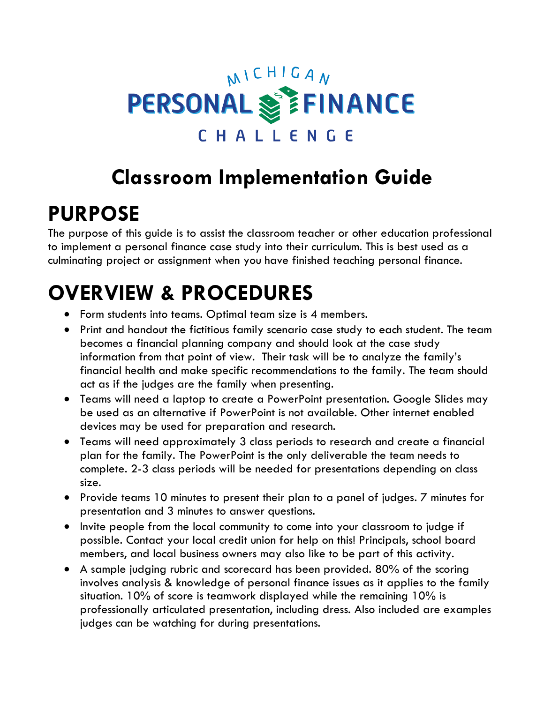# MICHIGAN PERSONAL SETINANCE CHALLENGE

# **Classroom Implementation Guide**

# **PURPOSE**

The purpose of this guide is to assist the classroom teacher or other education professional to implement a personal finance case study into their curriculum. This is best used as a culminating project or assignment when you have finished teaching personal finance.

# **OVERVIEW & PROCEDURES**

- Form students into teams. Optimal team size is 4 members.
- Print and handout the fictitious family scenario case study to each student. The team becomes a financial planning company and should look at the case study information from that point of view. Their task will be to analyze the family's financial health and make specific recommendations to the family. The team should act as if the judges are the family when presenting.
- Teams will need a laptop to create a PowerPoint presentation. Google Slides may be used as an alternative if PowerPoint is not available. Other internet enabled devices may be used for preparation and research.
- Teams will need approximately 3 class periods to research and create a financial plan for the family. The PowerPoint is the only deliverable the team needs to complete. 2-3 class periods will be needed for presentations depending on class size.
- Provide teams 10 minutes to present their plan to a panel of judges. 7 minutes for presentation and 3 minutes to answer questions.
- Invite people from the local community to come into your classroom to judge if possible. Contact your local credit union for help on this! Principals, school board members, and local business owners may also like to be part of this activity.
- A sample judging rubric and scorecard has been provided. 80% of the scoring involves analysis & knowledge of personal finance issues as it applies to the family situation. 10% of score is teamwork displayed while the remaining 10% is professionally articulated presentation, including dress. Also included are examples judges can be watching for during presentations.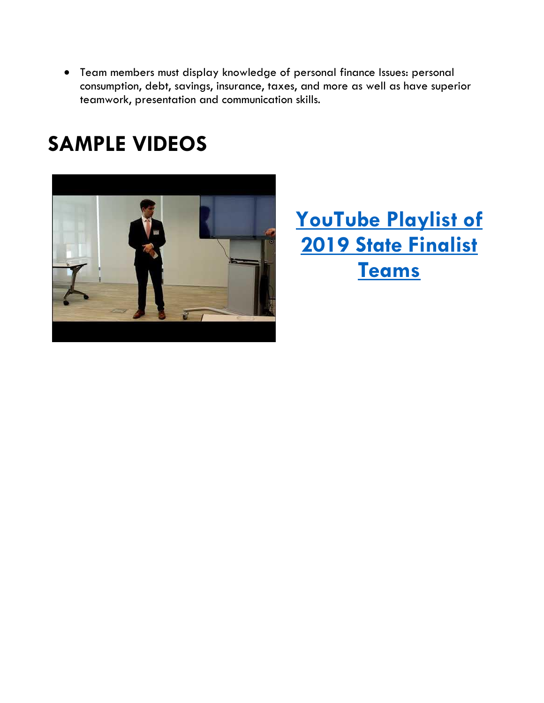• Team members must display knowledge of personal finance Issues: personal consumption, debt, savings, insurance, taxes, and more as well as have superior teamwork, presentation and communication skills.

## **SAMPLE VIDEOS**



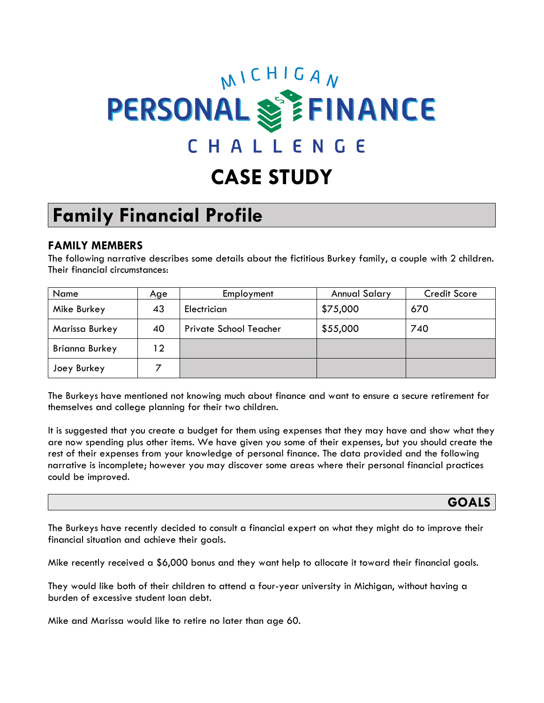# MICHIGAN **PERSONAL SEEINANCE** CHALLENGE

## **CASE STUDY**

## **Family Financial Profile**

#### **FAMILY MEMBERS**

The following narrative describes some details about the fictitious Burkey family, a couple with 2 children. Their financial circumstances:

| Name                  | Age | Employment             | <b>Annual Salary</b> | <b>Credit Score</b> |
|-----------------------|-----|------------------------|----------------------|---------------------|
| Mike Burkey           | 43  | Electrician            | \$75,000             | 670                 |
| Marissa Burkey        | 40  | Private School Teacher | \$55,000             | 740                 |
| <b>Brianna Burkey</b> | 12  |                        |                      |                     |
| Joey Burkey           |     |                        |                      |                     |

The Burkeys have mentioned not knowing much about finance and want to ensure a secure retirement for themselves and college planning for their two children.

It is suggested that you create a budget for them using expenses that they may have and show what they are now spending plus other items. We have given you some of their expenses, but you should create the rest of their expenses from your knowledge of personal finance. The data provided and the following narrative is incomplete; however you may discover some areas where their personal financial practices could be improved.

**GOALS**

The Burkeys have recently decided to consult a financial expert on what they might do to improve their financial situation and achieve their goals.

Mike recently received a \$6,000 bonus and they want help to allocate it toward their financial goals.

They would like both of their children to attend a four-year university in Michigan, without having a burden of excessive student loan debt.

Mike and Marissa would like to retire no later than age 60.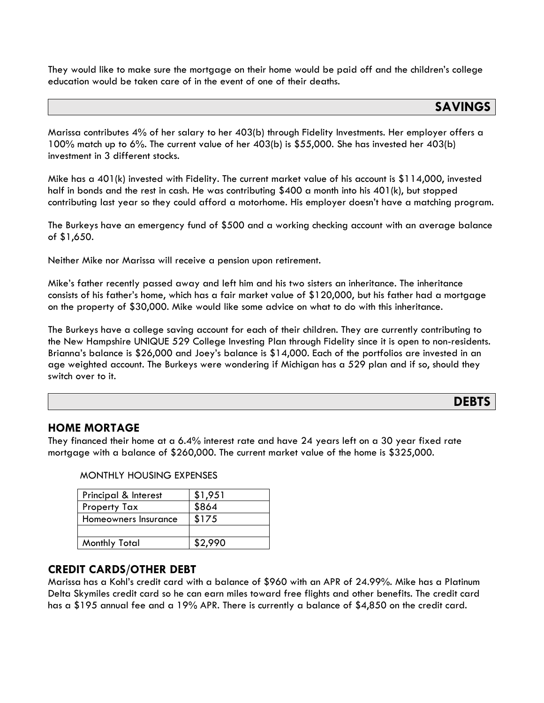They would like to make sure the mortgage on their home would be paid off and the children's college education would be taken care of in the event of one of their deaths.

#### **SAVINGS**

Marissa contributes 4% of her salary to her 403(b) through Fidelity Investments. Her employer offers a 100% match up to 6%. The current value of her 403(b) is \$55,000. She has invested her 403(b) investment in 3 different stocks.

Mike has a 401(k) invested with Fidelity. The current market value of his account is \$114,000, invested half in bonds and the rest in cash. He was contributing \$400 a month into his 401(k), but stopped contributing last year so they could afford a motorhome. His employer doesn't have a matching program.

The Burkeys have an emergency fund of \$500 and a working checking account with an average balance of \$1,650.

Neither Mike nor Marissa will receive a pension upon retirement.

Mike's father recently passed away and left him and his two sisters an inheritance. The inheritance consists of his father's home, which has a fair market value of \$120,000, but his father had a mortgage on the property of \$30,000. Mike would like some advice on what to do with this inheritance.

The Burkeys have a college saving account for each of their children. They are currently contributing to the New Hampshire UNIQUE 529 College Investing Plan through Fidelity since it is open to non-residents. Brianna's balance is \$26,000 and Joey's balance is \$14,000. Each of the portfolios are invested in an age weighted account. The Burkeys were wondering if Michigan has a 529 plan and if so, should they switch over to it.

#### **DEBTS**

#### **HOME MORTAGE**

They financed their home at a 6.4% interest rate and have 24 years left on a 30 year fixed rate mortgage with a balance of \$260,000. The current market value of the home is \$325,000.

| Principal & Interest | \$1,951 |
|----------------------|---------|
| <b>Property Tax</b>  | \$864   |
| Homeowners Insurance | \$175   |
|                      |         |
| Monthly Total        | \$2.990 |

MONTHLY HOUSING EXPENSES

#### **CREDIT CARDS/OTHER DEBT**

Marissa has a Kohl's credit card with a balance of \$960 with an APR of 24.99%. Mike has a Platinum Delta Skymiles credit card so he can earn miles toward free flights and other benefits. The credit card has a \$195 annual fee and a 19% APR. There is currently a balance of \$4,850 on the credit card.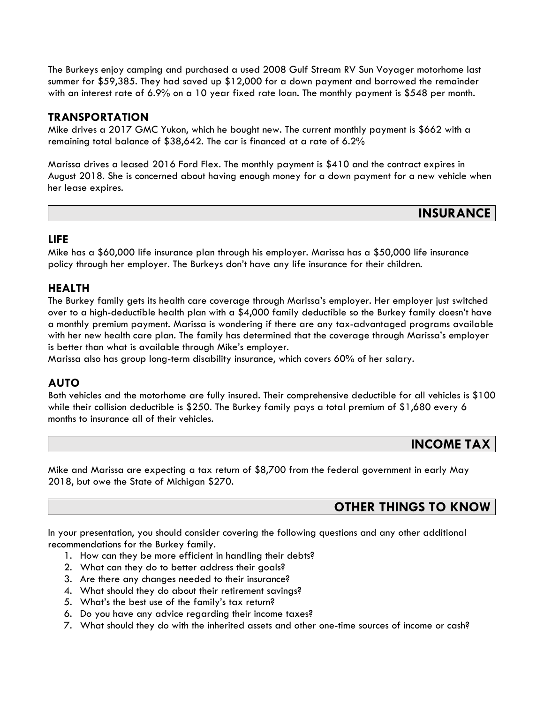The Burkeys enjoy camping and purchased a used 2008 Gulf Stream RV Sun Voyager motorhome last summer for \$59,385. They had saved up \$12,000 for a down payment and borrowed the remainder with an interest rate of 6.9% on a 10 year fixed rate loan. The monthly payment is \$548 per month.

#### **TRANSPORTATION**

Mike drives a 2017 GMC Yukon, which he bought new. The current monthly payment is \$662 with a remaining total balance of \$38,642. The car is financed at a rate of 6.2%

Marissa drives a leased 2016 Ford Flex. The monthly payment is \$410 and the contract expires in August 2018. She is concerned about having enough money for a down payment for a new vehicle when her lease expires.

#### **INSURANCE**

#### **LIFE**

Mike has a \$60,000 life insurance plan through his employer. Marissa has a \$50,000 life insurance policy through her employer. The Burkeys don't have any life insurance for their children.

#### **HEALTH**

The Burkey family gets its health care coverage through Marissa's employer. Her employer just switched over to a high-deductible health plan with a \$4,000 family deductible so the Burkey family doesn't have a monthly premium payment. Marissa is wondering if there are any tax-advantaged programs available with her new health care plan. The family has determined that the coverage through Marissa's employer is better than what is available through Mike's employer.

Marissa also has group long-term disability insurance, which covers 60% of her salary.

#### **AUTO**

Both vehicles and the motorhome are fully insured. Their comprehensive deductible for all vehicles is \$100 while their collision deductible is \$250. The Burkey family pays a total premium of \$1,680 every 6 months to insurance all of their vehicles.

#### **INCOME TAX**

Mike and Marissa are expecting a tax return of \$8,700 from the federal government in early May 2018, but owe the State of Michigan \$270.

#### **OTHER THINGS TO KNOW**

In your presentation, you should consider covering the following questions and any other additional recommendations for the Burkey family.

- 1. How can they be more efficient in handling their debts?
- 2. What can they do to better address their goals?
- 3. Are there any changes needed to their insurance?
- 4. What should they do about their retirement savings?
- 5. What's the best use of the family's tax return?
- 6. Do you have any advice regarding their income taxes?
- 7. What should they do with the inherited assets and other one-time sources of income or cash?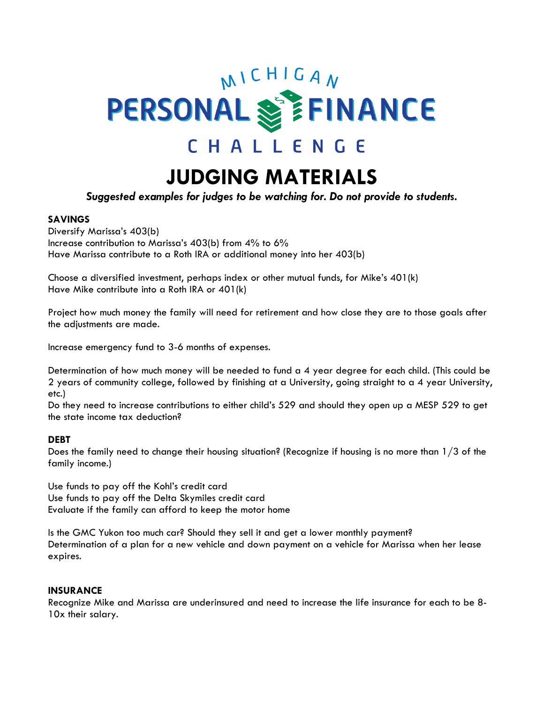# MICHIGAN **PERSONAL SEEINANCE** CHALLENGE

### **JUDGING MATERIALS**

*Suggested examples for judges to be watching for. Do not provide to students.*

#### **SAVINGS**

Diversify Marissa's 403(b) Increase contribution to Marissa's 403(b) from 4% to 6% Have Marissa contribute to a Roth IRA or additional money into her 403(b)

Choose a diversified investment, perhaps index or other mutual funds, for Mike's 401(k) Have Mike contribute into a Roth IRA or 401(k)

Project how much money the family will need for retirement and how close they are to those goals after the adjustments are made.

Increase emergency fund to 3-6 months of expenses.

Determination of how much money will be needed to fund a 4 year degree for each child. (This could be 2 years of community college, followed by finishing at a University, going straight to a 4 year University, etc.)

Do they need to increase contributions to either child's 529 and should they open up a MESP 529 to get the state income tax deduction?

#### **DEBT**

Does the family need to change their housing situation? (Recognize if housing is no more than 1/3 of the family income.)

Use funds to pay off the Kohl's credit card Use funds to pay off the Delta Skymiles credit card Evaluate if the family can afford to keep the motor home

Is the GMC Yukon too much car? Should they sell it and get a lower monthly payment? Determination of a plan for a new vehicle and down payment on a vehicle for Marissa when her lease expires.

#### **INSURANCE**

Recognize Mike and Marissa are underinsured and need to increase the life insurance for each to be 8- 10x their salary.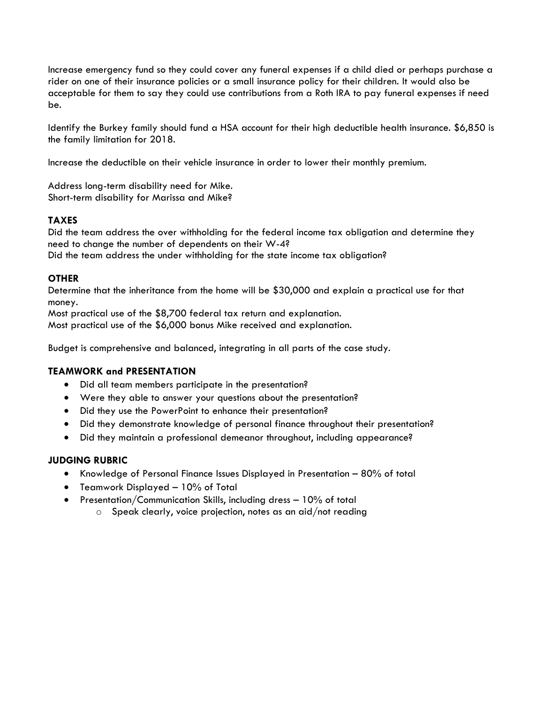Increase emergency fund so they could cover any funeral expenses if a child died or perhaps purchase a rider on one of their insurance policies or a small insurance policy for their children. It would also be acceptable for them to say they could use contributions from a Roth IRA to pay funeral expenses if need be.

Identify the Burkey family should fund a HSA account for their high deductible health insurance. \$6,850 is the family limitation for 2018.

Increase the deductible on their vehicle insurance in order to lower their monthly premium.

Address long-term disability need for Mike. Short-term disability for Marissa and Mike?

#### **TAXES**

Did the team address the over withholding for the federal income tax obligation and determine they need to change the number of dependents on their W-4? Did the team address the under withholding for the state income tax obligation?

#### **OTHER**

Determine that the inheritance from the home will be \$30,000 and explain a practical use for that money.

Most practical use of the \$8,700 federal tax return and explanation. Most practical use of the \$6,000 bonus Mike received and explanation.

Budget is comprehensive and balanced, integrating in all parts of the case study.

#### **TEAMWORK and PRESENTATION**

- Did all team members participate in the presentation?
- Were they able to answer your questions about the presentation?
- Did they use the PowerPoint to enhance their presentation?
- Did they demonstrate knowledge of personal finance throughout their presentation?
- Did they maintain a professional demeanor throughout, including appearance?

#### **JUDGING RUBRIC**

- Knowledge of Personal Finance Issues Displayed in Presentation 80% of total
- Teamwork Displayed 10% of Total
- Presentation/Communication Skills, including dress 10% of total
	- $\circ$  Speak clearly, voice projection, notes as an aid/not reading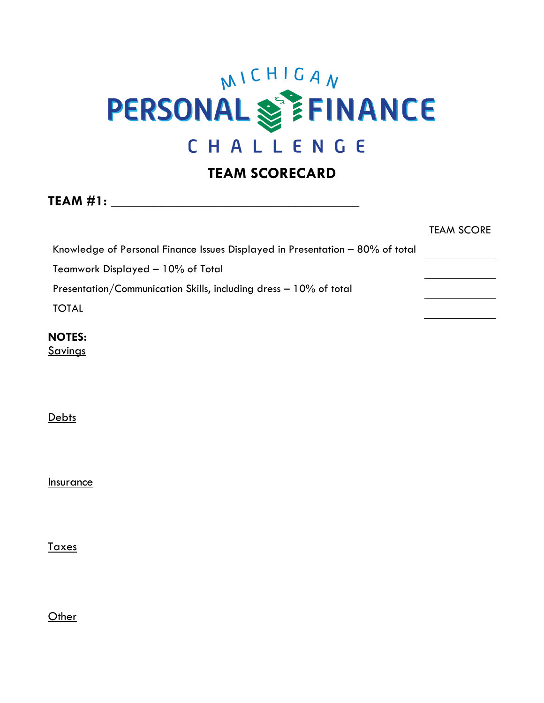# **PERSONAL SEEINANCE** CHALLENGE

#### **TEAM SCORECARD**

**TEAM #1:**  $\blacksquare$ 

|                                                                               | TEAM SCORE |
|-------------------------------------------------------------------------------|------------|
| Knowledge of Personal Finance Issues Displayed in Presentation - 80% of total |            |
| Teamwork Displayed - 10% of Total                                             |            |
| Presentation/Communication Skills, including dress – 10% of total             |            |
| <b>TOTAL</b>                                                                  |            |
| <b>NOTES:</b>                                                                 |            |

**Savings** 

**Debts** 

**Insurance** 

Taxes

**Other**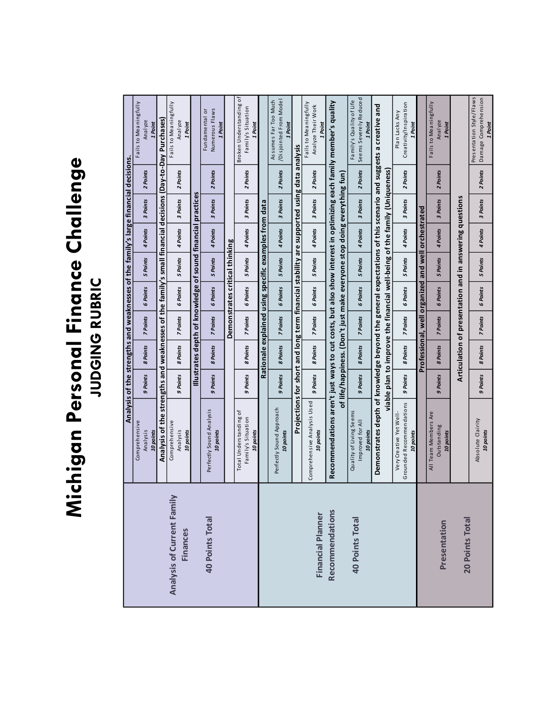# Michigan Personal Finance Challenge **Michigan Personal Finance Challenge JUDGING RUBRIC**

|                            |                                                                                                                  |          | Analysis of the strengths and weaknesses of the family's large financial decisions. |          |                                |          |                                                                            |          |          |                                                             |
|----------------------------|------------------------------------------------------------------------------------------------------------------|----------|-------------------------------------------------------------------------------------|----------|--------------------------------|----------|----------------------------------------------------------------------------|----------|----------|-------------------------------------------------------------|
|                            | Comprehensive                                                                                                    |          |                                                                                     |          |                                |          |                                                                            |          |          | Fails to Meaningfully                                       |
|                            | Analysis                                                                                                         | 9 Points | 8 Points                                                                            | 7 Points | 6 Points                       | 5 Points | 4 Points                                                                   | 3 Points | 2 Points | Analyze                                                     |
|                            | 10 points                                                                                                        |          |                                                                                     |          |                                |          |                                                                            |          |          | 1 Point                                                     |
|                            | Analysis of the strengths and weaknesses of the family's small financial decisions (Day-to-Day Purchases)        |          |                                                                                     |          |                                |          |                                                                            |          |          |                                                             |
|                            |                                                                                                                  |          |                                                                                     |          |                                |          |                                                                            |          |          |                                                             |
| Analysis of Current Family | Comprehensive                                                                                                    |          |                                                                                     |          |                                |          |                                                                            |          |          | Fails to Meaningfully                                       |
|                            | Analysis                                                                                                         | 9 Points | 8 Points                                                                            | 7 Points | 6 Points                       | 5 Points | 4 Points                                                                   | 3 Points | 2 Points | Analyze                                                     |
| <b>Finances</b>            | 10 points                                                                                                        |          |                                                                                     |          |                                |          |                                                                            |          |          | 1 Point                                                     |
|                            |                                                                                                                  |          |                                                                                     |          |                                |          | Illustrates depth of knowledge of sound financial practices                |          |          |                                                             |
|                            |                                                                                                                  |          |                                                                                     |          |                                |          |                                                                            |          |          | Fundamental or                                              |
| <b>40 Points Total</b>     | Perfectly Sound Analysis                                                                                         |          |                                                                                     |          |                                |          |                                                                            |          |          | Numerous Flaws                                              |
|                            | 10 points                                                                                                        | 9 Points | 8 Points                                                                            | 7 Points | 6 Points                       | 5 Points | 4 Points                                                                   | 3 Points | 2 Points | 1 Point                                                     |
|                            |                                                                                                                  |          |                                                                                     |          |                                |          |                                                                            |          |          |                                                             |
|                            |                                                                                                                  |          |                                                                                     |          | Demonstrates critical thinking |          |                                                                            |          |          |                                                             |
|                            | Total Understanding of                                                                                           |          |                                                                                     |          |                                |          |                                                                            |          |          | Broken Understanding of                                     |
|                            | Family's Situation                                                                                               | 9 Points | 8 Points                                                                            | 7 Points | 6 Points                       | 5 Points | 4 Points                                                                   | 3 Points | 2 Points | Family's Situation                                          |
|                            | 10 points                                                                                                        |          |                                                                                     |          |                                |          |                                                                            |          |          | 1 Point                                                     |
|                            |                                                                                                                  |          |                                                                                     |          |                                |          | Rationale explained using specific examples from data                      |          |          |                                                             |
|                            |                                                                                                                  |          |                                                                                     |          |                                |          |                                                                            |          |          |                                                             |
|                            | Perfectly Sound Approach<br>10 points                                                                            | 9 Points | 8 Points                                                                            | 7 Points | 6 Points                       | 5 Points | 4 Points                                                                   | 3 Points | 2 Points | /Disjointed From Model<br>Assumes Far Too Much<br>1 Point   |
|                            | Projections for short and long term financial stability are supported using data analysis                        |          |                                                                                     |          |                                |          |                                                                            |          |          |                                                             |
|                            |                                                                                                                  |          |                                                                                     |          |                                |          |                                                                            |          |          | Fails to Meaningfully                                       |
|                            | Comprehensive Analysis Used                                                                                      | 9 Points | 8 Points                                                                            | 7 Points | 6 Points                       | 5 Points | 4 Points                                                                   | 3 Points | 2 Points | Analyze Their Work                                          |
| Financial Planner          | 10 points                                                                                                        |          |                                                                                     |          |                                |          |                                                                            |          |          | Point                                                       |
| <b>Recommendations</b>     | Recommendations aren't just ways to cut costs, but also show interest in optimizing each family member's quality |          |                                                                                     |          |                                |          |                                                                            |          |          |                                                             |
|                            |                                                                                                                  |          |                                                                                     |          |                                |          |                                                                            |          |          |                                                             |
|                            |                                                                                                                  |          |                                                                                     |          |                                |          | of life/happiness. (Don't just make everyone stop doing everything fun)    |          |          |                                                             |
| <b>40 Points Total</b>     | Quality of Living Seems                                                                                          |          |                                                                                     |          |                                |          |                                                                            |          |          | Family's Quality of Life                                    |
|                            | Improved for All<br>10 points                                                                                    | 9 Points | 8 Points                                                                            | 7 Points | 6 Points                       | 5 Points | 4 Points                                                                   | 3 Points | 2 Points | Seems Severely Reduced<br>1 Point                           |
|                            |                                                                                                                  |          |                                                                                     |          |                                |          |                                                                            |          |          |                                                             |
|                            | Demonstrates depth of knowledge beyond the general expectations of this scenario and suggests a creative and     |          |                                                                                     |          |                                |          |                                                                            |          |          |                                                             |
|                            |                                                                                                                  |          |                                                                                     |          |                                |          | viable plan to improve the financial well-being of the family (Uniqueness) |          |          |                                                             |
|                            | Very Creative Yet Well-                                                                                          |          |                                                                                     |          |                                |          |                                                                            |          |          | Plan Lacks Any                                              |
|                            | Grounded Recommendations<br>10 points                                                                            | 9 Points | 8 Points                                                                            | 7 Points | 6 Points                       | 5 Points | 4 Points                                                                   | 3 Points | 2 Points | Creativity/Inspiration<br>1 Point                           |
|                            |                                                                                                                  |          |                                                                                     |          |                                |          | Professional, well organized and well orchestrated                         |          |          |                                                             |
|                            | All Team Members Are                                                                                             |          |                                                                                     |          |                                |          |                                                                            |          |          | Fails to Meaningfully                                       |
|                            | Outstanding                                                                                                      | 9 Points | 8 Points                                                                            | 7 Points | 6 Points                       | 5 Points | 4 Points                                                                   | 3 Points | 2 Points | Analyze                                                     |
| Presentation               | 10 points                                                                                                        |          |                                                                                     |          |                                |          |                                                                            |          |          | 1 Point                                                     |
|                            |                                                                                                                  |          |                                                                                     |          |                                |          |                                                                            |          |          |                                                             |
| 20 Points Total            |                                                                                                                  |          |                                                                                     |          |                                |          | Articulation of presentation and in answering questions                    |          |          |                                                             |
|                            | Absolute Clairity<br>10 points                                                                                   | 9 Points | 8 Points                                                                            | 7 Points | 6 Points                       | 5 Points | 4 Points                                                                   | 3 Points | 2 Points | Presentation Style/Flaws<br>Damage Comprehension<br>1 Point |
|                            |                                                                                                                  |          |                                                                                     |          |                                |          |                                                                            |          |          |                                                             |